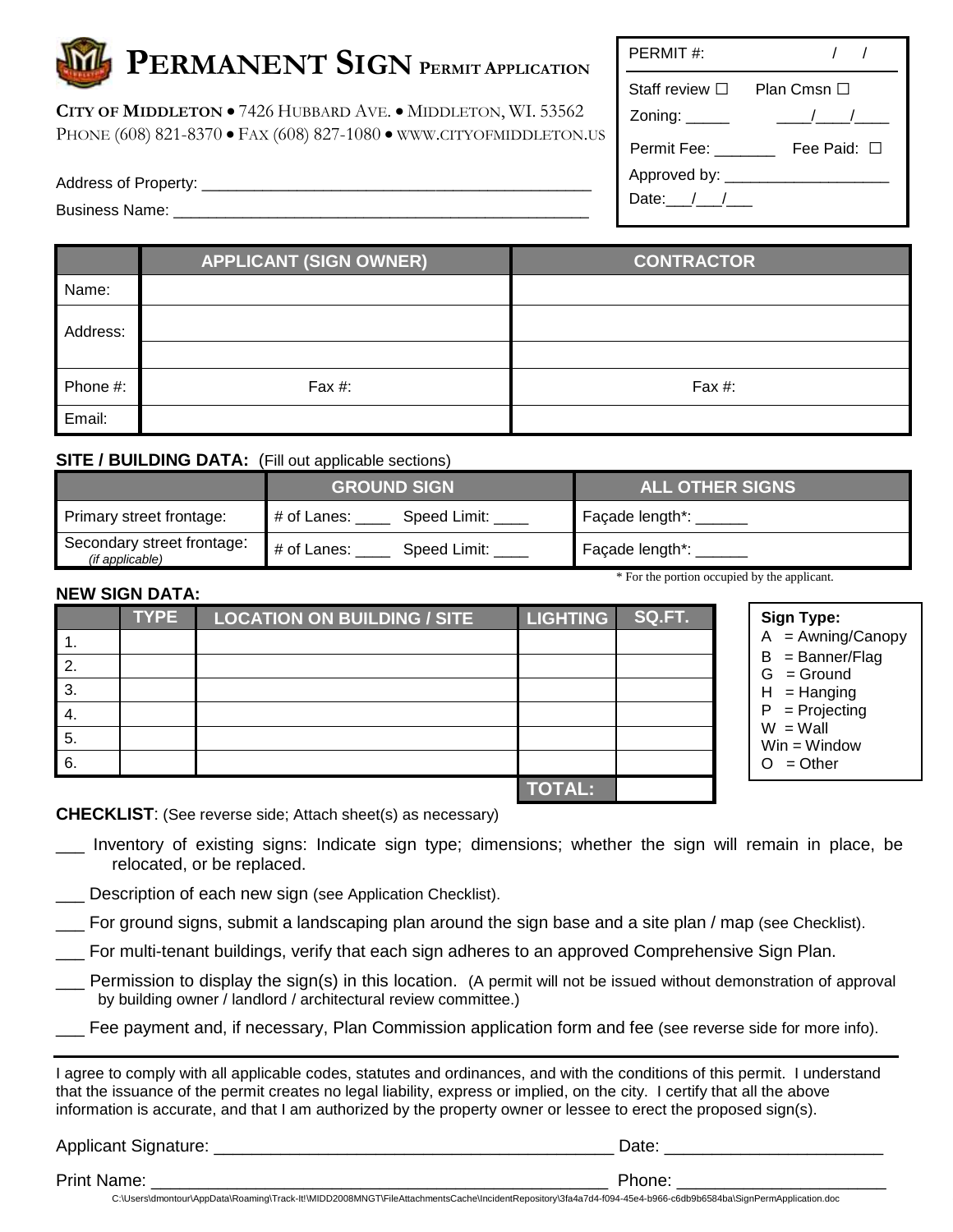**CITY OF MIDDLETON** 7426 HUBBARD AVE. MIDDLETON, WI. 53562 PHONE (608) 821-8370 • FAX (608) 827-1080 • WWW.CITYOFMIDDLETON.US

Address of Property:

Business Name: \_\_\_\_\_\_\_\_\_\_\_\_\_\_\_\_\_\_\_\_\_\_\_\_\_\_\_\_\_\_\_\_\_\_\_\_\_\_\_\_\_\_\_\_\_\_\_\_

| PERMIT#:                           |                  |  |  |
|------------------------------------|------------------|--|--|
| Staff review ⊟                     | Plan Cmsn $\Box$ |  |  |
| Zoning: $\_\_\_\_\_\_\_\_\_\_\_\_$ | $\sqrt{2}$       |  |  |
| Permit Fee: <b>Deal</b>            | Fee Paid: □      |  |  |
| Approved by: ___                   |                  |  |  |
| Date: $/$ /                        |                  |  |  |

|          | <b>APPLICANT (SIGN OWNER)</b> | <b>CONTRACTOR</b> |
|----------|-------------------------------|-------------------|
| Name:    |                               |                   |
| Address: |                               |                   |
|          |                               |                   |
| Phone #: | Fax $#$ :                     | Fax #:            |
| Email:   |                               |                   |

#### **SITE / BUILDING DATA:** (Fill out applicable sections)

|                                               | <b>GROUND SIGN</b>          | <b>ALL OTHER SIGNS</b> |
|-----------------------------------------------|-----------------------------|------------------------|
| Primary street frontage:                      | Speed Limit:<br># of Lanes: | Façade length*:        |
| Secondary street frontage:<br>(if applicable) | # of Lanes:<br>Speed Limit: | Façade length*:        |

### **NEW SIGN DATA:**

**Sign Type:**  $A = A$ wning/Canopy  $B =$ Banner/Flag  $G =$  Ground  $H =$  Hanging P = Projecting  $W =$  Wall Win = Window  $O = Other$ \* For the portion occupied by the applicant. **TYPE LOCATION ON BUILDING / SITE LIGHTING SQ.FT.** 1. 2. 3. 4. 5. 6. **TOTAL:**

**CHECKLIST**: (See reverse side; Attach sheet(s) as necessary)

- \_\_\_ Inventory of existing signs: Indicate sign type; dimensions; whether the sign will remain in place, be relocated, or be replaced.
- Description of each new sign (see Application Checklist).
- \_\_\_ For ground signs, submit a landscaping plan around the sign base and a site plan / map (see Checklist).
- \_\_\_ For multi-tenant buildings, verify that each sign adheres to an approved Comprehensive Sign Plan.
- \_\_\_ Permission to display the sign(s) in this location. (A permit will not be issued without demonstration of approval by building owner / landlord / architectural review committee.)
- Fee payment and, if necessary, Plan Commission application form and fee (see reverse side for more info).

I agree to comply with all applicable codes, statutes and ordinances, and with the conditions of this permit. I understand that the issuance of the permit creates no legal liability, express or implied, on the city. I certify that all the above information is accurate, and that I am authorized by the property owner or lessee to erect the proposed sign(s).

Applicant Signature: \_\_\_\_\_\_\_\_\_\_\_\_\_\_\_\_\_\_\_\_\_\_\_\_\_\_\_\_\_\_\_\_\_\_\_\_\_\_\_\_\_\_ Date: \_\_\_\_\_\_\_\_\_\_\_\_\_\_\_\_\_\_\_\_\_\_\_

Print Name: \_\_\_\_\_\_\_\_\_\_\_\_\_\_\_\_\_\_\_\_\_\_\_\_\_\_\_\_\_\_\_\_\_\_\_\_\_\_\_\_\_\_\_\_\_\_\_\_ Phone: \_\_\_\_\_\_\_\_\_\_\_\_\_\_\_\_\_\_\_\_\_\_

C:\Users\dmontour\AppData\Roaming\Track-It!\MIDD2008MNGT\FileAttachmentsCache\IncidentRepository\3fa4a7d4-f094-45e4-b966-c6db9b6584ba\SignPermApplication.doc